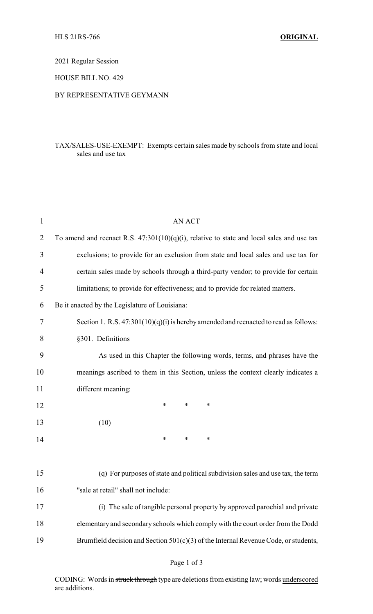2021 Regular Session

HOUSE BILL NO. 429

## BY REPRESENTATIVE GEYMANN

## TAX/SALES-USE-EXEMPT: Exempts certain sales made by schools from state and local sales and use tax

| $\mathbf{1}$ | <b>AN ACT</b>                                                                                |  |  |
|--------------|----------------------------------------------------------------------------------------------|--|--|
| 2            | To amend and reenact R.S. $47:301(10)(q)(i)$ , relative to state and local sales and use tax |  |  |
| 3            | exclusions; to provide for an exclusion from state and local sales and use tax for           |  |  |
| 4            | certain sales made by schools through a third-party vendor; to provide for certain           |  |  |
| 5            | limitations; to provide for effectiveness; and to provide for related matters.               |  |  |
| 6            | Be it enacted by the Legislature of Louisiana:                                               |  |  |
| 7            | Section 1. R.S. $47:301(10)(q)(i)$ is hereby amended and reenacted to read as follows:       |  |  |
| 8            | §301. Definitions                                                                            |  |  |
| 9            | As used in this Chapter the following words, terms, and phrases have the                     |  |  |
| 10           | meanings ascribed to them in this Section, unless the context clearly indicates a            |  |  |
| 11           | different meaning:                                                                           |  |  |
| 12           | $\ast$<br>$\ast$<br>∗                                                                        |  |  |
| 13           | (10)                                                                                         |  |  |
| 14           | $\ast$<br>$\ast$<br>$\ast$                                                                   |  |  |
|              |                                                                                              |  |  |
| 15           | (q) For purposes of state and political subdivision sales and use tax, the term              |  |  |
| 16           | "sale at retail" shall not include:                                                          |  |  |
| 17           | (i) The sale of tangible personal property by approved parochial and private                 |  |  |
| 18           | elementary and secondary schools which comply with the court order from the Dodd             |  |  |
| 19           | Brumfield decision and Section 501(c)(3) of the Internal Revenue Code, or students,          |  |  |
|              |                                                                                              |  |  |

CODING: Words in struck through type are deletions from existing law; words underscored are additions.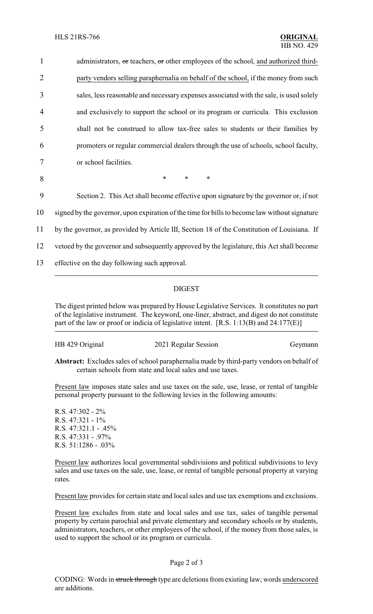1 administrators, or teachers, or other employees of the school, and authorized third- party vendors selling paraphernalia on behalf of the school, if the money from such sales, less reasonable and necessary expenses associated with the sale, is used solely and exclusively to support the school or its program or curricula. This exclusion shall not be construed to allow tax-free sales to students or their families by promoters or regular commercial dealers through the use of schools, school faculty, or school facilities. 8 \* \* \*

9 Section 2. This Act shall become effective upon signature by the governor or, if not

10 signed by the governor, upon expiration of the time for bills to become law without signature

11 by the governor, as provided by Article III, Section 18 of the Constitution of Louisiana. If

12 vetoed by the governor and subsequently approved by the legislature, this Act shall become

13 effective on the day following such approval.

## DIGEST

The digest printed below was prepared by House Legislative Services. It constitutes no part of the legislative instrument. The keyword, one-liner, abstract, and digest do not constitute part of the law or proof or indicia of legislative intent. [R.S. 1:13(B) and 24:177(E)]

| HB 429 Original | 2021 Regular Session | Geymann |
|-----------------|----------------------|---------|
|                 |                      |         |

**Abstract:** Excludes sales of school paraphernalia made by third-party vendors on behalf of certain schools from state and local sales and use taxes.

Present law imposes state sales and use taxes on the sale, use, lease, or rental of tangible personal property pursuant to the following levies in the following amounts:

R.S. 47:302 - 2% R.S. 47:321 - 1% R.S. 47:321.1 - .45% R.S. 47:331 - .97% R.S. 51:1286 - .03%

Present law authorizes local governmental subdivisions and political subdivisions to levy sales and use taxes on the sale, use, lease, or rental of tangible personal property at varying rates.

Present law provides for certain state and local sales and use tax exemptions and exclusions.

Present law excludes from state and local sales and use tax, sales of tangible personal property by certain parochial and private elementary and secondary schools or by students, administrators, teachers, or other employees of the school, if the money from those sales, is used to support the school or its program or curricula.

## Page 2 of 3